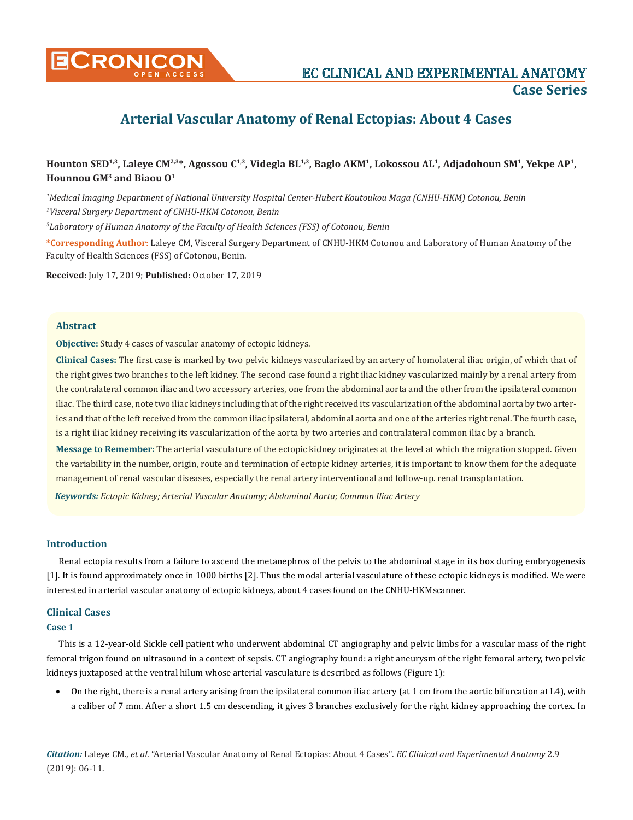

**CONICON EXPERIMENTAL ANATOMY Case Series**

# **Arterial Vascular Anatomy of Renal Ectopias: About 4 Cases**

# **Hounton SED1,3, Laleye CM2,3\*, Agossou C1,3, Videgla BL1,3, Baglo AKM1, Lokossou AL1, Adjadohoun SM1, Yekpe AP1, Hounnou GM3 and Biaou O1**

*1 Medical Imaging Department of National University Hospital Center-Hubert Koutoukou Maga (CNHU-HKM) Cotonou, Benin 2 Visceral Surgery Department of CNHU-HKM Cotonou, Benin 3 Laboratory of Human Anatomy of the Faculty of Health Sciences (FSS) of Cotonou, Benin*

**\*Corresponding Author**: Laleye CM, Visceral Surgery Department of CNHU-HKM Cotonou and Laboratory of Human Anatomy of the Faculty of Health Sciences (FSS) of Cotonou, Benin.

**Received:** July 17, 2019; **Published:** October 17, 2019

## **Abstract**

**Objective:** Study 4 cases of vascular anatomy of ectopic kidneys.

**Clinical Cases:** The first case is marked by two pelvic kidneys vascularized by an artery of homolateral iliac origin, of which that of the right gives two branches to the left kidney. The second case found a right iliac kidney vascularized mainly by a renal artery from the contralateral common iliac and two accessory arteries, one from the abdominal aorta and the other from the ipsilateral common iliac. The third case, note two iliac kidneys including that of the right received its vascularization of the abdominal aorta by two arteries and that of the left received from the common iliac ipsilateral, abdominal aorta and one of the arteries right renal. The fourth case, is a right iliac kidney receiving its vascularization of the aorta by two arteries and contralateral common iliac by a branch.

**Message to Remember:** The arterial vasculature of the ectopic kidney originates at the level at which the migration stopped. Given the variability in the number, origin, route and termination of ectopic kidney arteries, it is important to know them for the adequate management of renal vascular diseases, especially the renal artery interventional and follow-up. renal transplantation.

*Keywords: Ectopic Kidney; Arterial Vascular Anatomy; Abdominal Aorta; Common Iliac Artery*

#### **Introduction**

Renal ectopia results from a failure to ascend the metanephros of the pelvis to the abdominal stage in its box during embryogenesis [1]. It is found approximately once in 1000 births [2]. Thus the modal arterial vasculature of these ectopic kidneys is modified. We were interested in arterial vascular anatomy of ectopic kidneys, about 4 cases found on the CNHU-HKM scanner.

#### **Clinical Cases**

## **Case 1**

This is a 12-year-old Sickle cell patient who underwent abdominal CT angiography and pelvic limbs for a vascular mass of the right femoral trigon found on ultrasound in a context of sepsis. CT angiography found: a right aneurysm of the right femoral artery, two pelvic kidneys juxtaposed at the ventral hilum whose arterial vasculature is described as follows (Figure 1):

• On the right, there is a renal artery arising from the ipsilateral common iliac artery (at 1 cm from the aortic bifurcation at L4), with a caliber of 7 mm. After a short 1.5 cm descending, it gives 3 branches exclusively for the right kidney approaching the cortex. In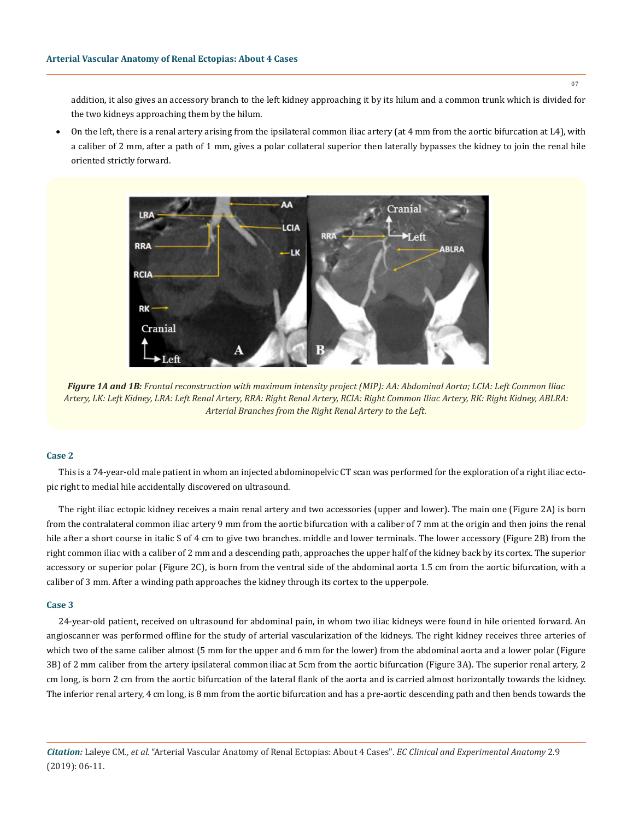addition, it also gives an accessory branch to the left kidney approaching it by its hilum and a common trunk which is divided for the two kidneys approaching them by the hilum.

On the left, there is a renal artery arising from the ipsilateral common iliac artery (at 4 mm from the aortic bifurcation at L4), with a caliber of 2 mm, after a path of 1 mm, gives a polar collateral superior then laterally bypasses the kidney to join the renal hile oriented strictly forward.



*Figure 1A and 1B: Frontal reconstruction with maximum intensity project (MIP): AA: Abdominal Aorta; LCIA: Left Common Iliac Artery, LK: Left Kidney, LRA: Left Renal Artery, RRA: Right Renal Artery, RCIA: Right Common Iliac Artery, RK: Right Kidney, ABLRA: Arterial Branches from the Right Renal Artery to the Left.*

#### **Case 2**

This is a 74-year-old male patient in whom an injected abdominopelvic CT scan was performed for the exploration of a right iliac ectopic right to medial hile accidentally discovered on ultrasound.

The right iliac ectopic kidney receives a main renal artery and two accessories (upper and lower). The main one (Figure 2A) is born from the contralateral common iliac artery 9 mm from the aortic bifurcation with a caliber of 7 mm at the origin and then joins the renal hile after a short course in italic S of 4 cm to give two branches. middle and lower terminals. The lower accessory (Figure 2B) from the right common iliac with a caliber of 2 mm and a descending path, approaches the upper half of the kidney back by its cortex. The superior accessory or superior polar (Figure 2C), is born from the ventral side of the abdominal aorta 1.5 cm from the aortic bifurcation, with a caliber of 3 mm. After a winding path approaches the kidney through its cortex to the upper pole.

#### **Case 3**

24-year-old patient, received on ultrasound for abdominal pain, in whom two iliac kidneys were found in hile oriented forward. An angioscanner was performed offline for the study of arterial vascularization of the kidneys. The right kidney receives three arteries of which two of the same caliber almost (5 mm for the upper and 6 mm for the lower) from the abdominal aorta and a lower polar (Figure 3B) of 2 mm caliber from the artery ipsilateral common iliac at 5cm from the aortic bifurcation (Figure 3A). The superior renal artery, 2 cm long, is born 2 cm from the aortic bifurcation of the lateral flank of the aorta and is carried almost horizontally towards the kidney. The inferior renal artery, 4 cm long, is 8 mm from the aortic bifurcation and has a pre-aortic descending path and then bends towards the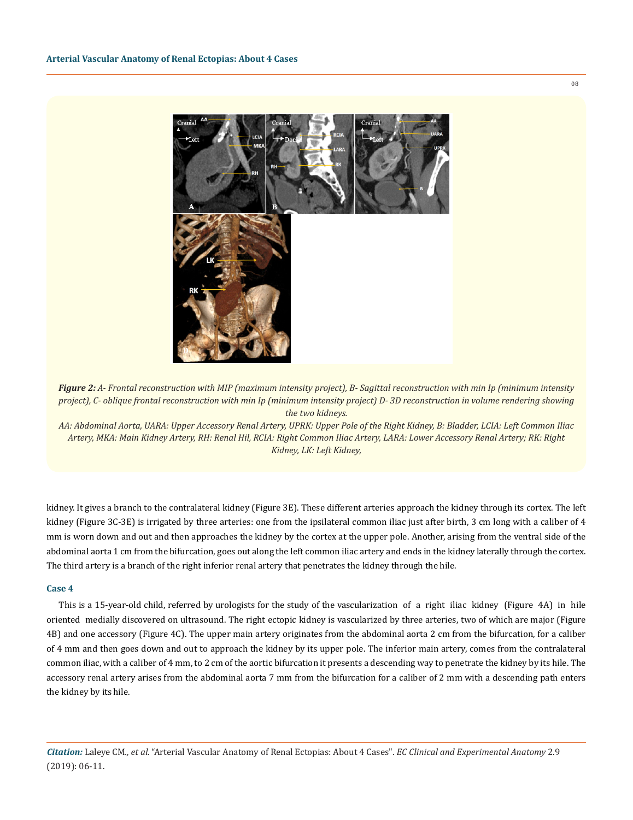

*Figure 2: A- Frontal reconstruction with MIP (maximum intensity project), B- Sagittal reconstruction with min Ip (minimum intensity project), C- oblique frontal reconstruction with min Ip (minimum intensity project) D- 3D reconstruction in volume rendering showing the two kidneys.*

*AA: Abdominal Aorta, UARA: Upper Accessory Renal Artery, UPRK: Upper Pole of the Right Kidney, B: Bladder, LCIA: Left Common Iliac Artery, MKA: Main Kidney Artery, RH: Renal Hil, RCIA: Right Common Iliac Artery, LARA: Lower Accessory Renal Artery; RK: Right Kidney, LK: Left Kidney,*

kidney. It gives a branch to the contralateral kidney (Figure 3E). These different arteries approach the kidney through its cortex. The left kidney (Figure 3C-3E) is irrigated by three arteries: one from the ipsilateral common iliac just after birth, 3 cm long with a caliber of 4 mm is worn down and out and then approaches the kidney by the cortex at the upper pole. Another, arising from the ventral side of the abdominal aorta 1 cm from the bifurcation, goes out along the left common iliac artery and ends in the kidney laterally through the cortex. The third artery is a branch of the right inferior renal artery that penetrates the kidney through the hile.

#### **Case 4**

This is a 15-year-old child, referred by urologists for the study of the vascularization of a right iliac kidney (Figure 4A) in hile oriented medially discovered on ultrasound. The right ectopic kidney is vascularized by three arteries, two of which are major (Figure 4B) and one accessory (Figure 4C). The upper main artery originates from the abdominal aorta 2 cm from the bifurcation, for a caliber of 4 mm and then goes down and out to approach the kidney by its upper pole. The inferior main artery, comes from the contralateral common iliac, with a caliber of 4 mm, to 2 cm of the aortic bifurcation it presents a descending way to penetrate the kidney by its hile. The accessory renal artery arises from the abdominal aorta 7 mm from the bifurcation for a caliber of 2 mm with a descending path enters the kidney by its hile.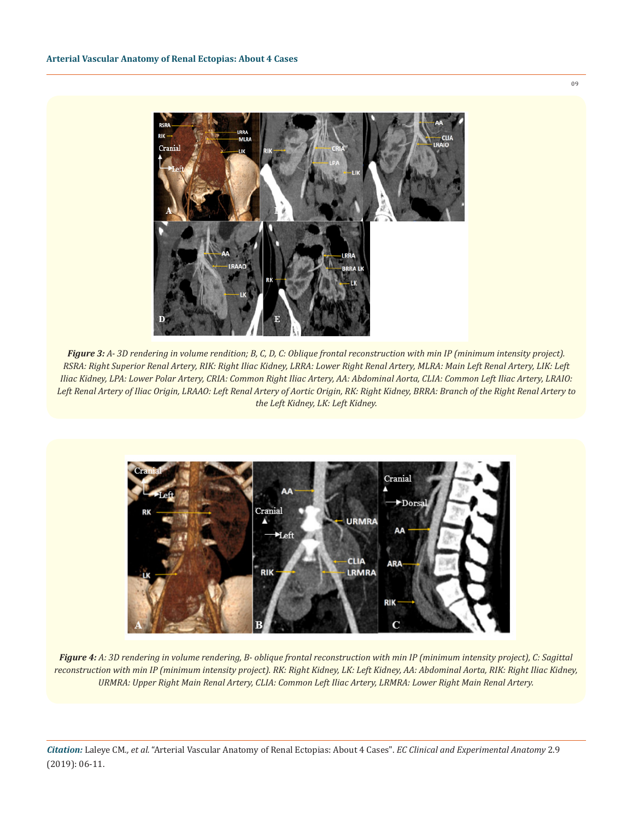

*Figure 3: A- 3D rendering in volume rendition; B, C, D, C: Oblique frontal reconstruction with min IP (minimum intensity project). RSRA: Right Superior Renal Artery, RIK: Right Iliac Kidney, LRRA: Lower Right Renal Artery, MLRA: Main Left Renal Artery, LIK: Left Iliac Kidney, LPA: Lower Polar Artery, CRIA: Common Right Iliac Artery, AA: Abdominal Aorta, CLIA: Common Left Iliac Artery, LRAIO: Left Renal Artery of Iliac Origin, LRAAO: Left Renal Artery of Aortic Origin, RK: Right Kidney, BRRA: Branch of the Right Renal Artery to the Left Kidney, LK: Left Kidney.*



*Figure 4: A: 3D rendering in volume rendering, B- oblique frontal reconstruction with min IP (minimum intensity project), C: Sagittal reconstruction with min IP (minimum intensity project). RK: Right Kidney, LK: Left Kidney, AA: Abdominal Aorta, RIK: Right Iliac Kidney, URMRA: Upper Right Main Renal Artery, CLIA: Common Left Iliac Artery, LRMRA: Lower Right Main Renal Artery.* 

*Citation:* Laleye CM*., et al.* "Arterial Vascular Anatomy of Renal Ectopias: About 4 Cases". *EC Clinical and Experimental Anatomy* 2.9 (2019): 06-11.

09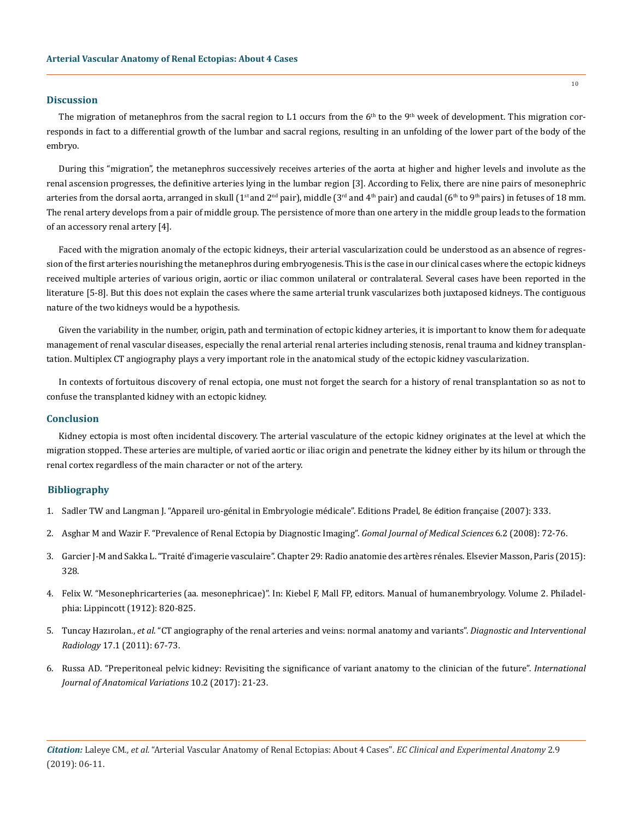#### **Discussion**

The migration of metanephros from the sacral region to L1 occurs from the  $6<sup>th</sup>$  to the 9<sup>th</sup> week of development. This migration corresponds in fact to a differential growth of the lumbar and sacral regions, resulting in an unfolding of the lower part of the body of the embryo.

During this "migration", the metanephros successively receives arteries of the aorta at higher and higher levels and involute as the renal ascension progresses, the definitive arteries lying in the lumbar region [3]. According to Felix, there are nine pairs of mesonephric arteries from the dorsal aorta, arranged in skull (1<sup>st</sup> and 2<sup>nd</sup> pair), middle (3<sup>rd</sup> and 4<sup>th</sup> pair) and caudal (6<sup>th</sup> to 9<sup>th</sup> pairs) in fetuses of 18 mm. The renal artery develops from a pair of middle group. The persistence of more than one artery in the middle group leads to the formation of an accessory renal artery [4].

Faced with the migration anomaly of the ectopic kidneys, their arterial vascularization could be understood as an absence of regression of the first arteries nourishing the metanephros during embryogenesis. This is the case in our clinical cases where the ectopic kidneys received multiple arteries of various origin, aortic or iliac common unilateral or contralateral. Several cases have been reported in the literature [5-8]. But this does not explain the cases where the same arterial trunk vascularizes both juxtaposed kidneys. The contiguous nature of the two kidneys would be a hypothesis.

Given the variability in the number, origin, path and termination of ectopic kidney arteries, it is important to know them for adequate management of renal vascular diseases, especially the renal arterial renal arteries including stenosis, renal trauma and kidney transplantation. Multiplex CT angiography plays a very important role in the anatomical study of the ectopic kidney vascularization.

In contexts of fortuitous discovery of renal ectopia, one must not forget the search for a history of renal transplantation so as not to confuse the transplanted kidney with an ectopic kidney.

#### **Conclusion**

Kidney ectopia is most often incidental discovery. The arterial vasculature of the ectopic kidney originates at the level at which the migration stopped. These arteries are multiple, of varied aortic or iliac origin and penetrate the kidney either by its hilum or through the renal cortex regardless of the main character or not of the artery.

#### **Bibliography**

- 1. Sadler TW and Langman J. "Appareil uro-génital in Embryologie médicale". Editions Pradel, 8e édition française (2007): 333.
- 2. [Asghar M and Wazir F. "Prevalence of Renal Ectopia by Diagnostic Imaging".](http://gjms.com.pk/files/GJMS%20Vol-6-2%20(2).pdf) *Gomal Journal of Medical Sciences* 6.2 (2008): 72-76.
- 3. Garcier J-M and Sakka L. "Traité d'imagerie vasculaire". Chapter 29: Radio anatomie des artères rénales. Elsevier Masson, Paris (2015): 328.
- 4. Felix W. "Mesonephricarteries (aa. mesonephricae)". In: Kiebel F, Mall FP, editors. Manual of humanembryology. Volume 2. Philadelphia: Lippincott (1912): 820-825.
- 5. Tuncay Hazırolan., *et al*[. "CT angiography of the renal arteries and veins: normal anatomy and variants".](https://www.ncbi.nlm.nih.gov/pubmed/20151356) *Diagnostic and Interventional Radiology* [17.1 \(2011\): 67-73.](https://www.ncbi.nlm.nih.gov/pubmed/20151356)
- 6. [Russa AD. "Preperitoneal pelvic kidney: Revisiting the significance of variant anatomy to the clinician of the future".](https://www.pulsus.com/scholarly-articles/preperitoneal-pelvic-kidney-revisiting-the-significance-of-variant-anatomy-to-the-clinician-of-the-future.html) *International [Journal of Anatomical Variations](https://www.pulsus.com/scholarly-articles/preperitoneal-pelvic-kidney-revisiting-the-significance-of-variant-anatomy-to-the-clinician-of-the-future.html)* 10.2 (2017): 21-23.